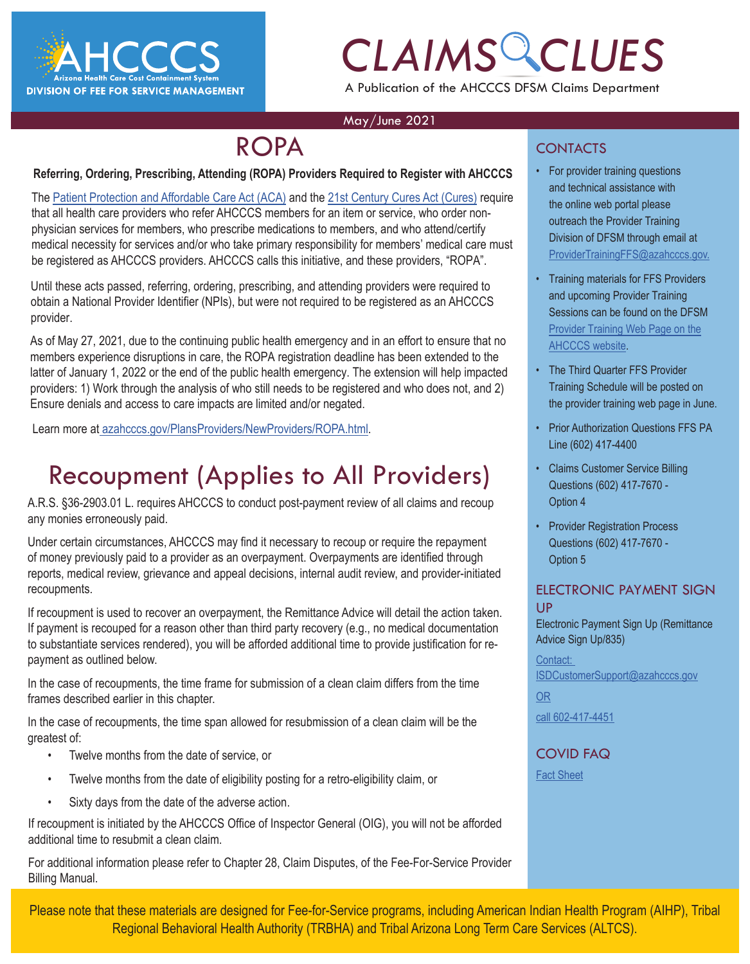

# *CLAIMS CLUES* A Publication of the AHCCCS DFSM Claims Department

### May/June 2021

## ROPA

### **Referring, Ordering, Prescribing, Attending (ROPA) Providers Required to Register with AHCCCS**

The [Patient Protection and Affordable Care Act \(ACA\)](https://www.govinfo.gov/content/pkg/PLAW-111publ148/pdf/PLAW-111publ148.pdf) and the [21st Century Cures Act \(Cures\)](https://www.govinfo.gov/content/pkg/PLAW-114publ255/pdf/PLAW-114publ255.pdf) require that all health care providers who refer AHCCCS members for an item or service, who order nonphysician services for members, who prescribe medications to members, and who attend/certify medical necessity for services and/or who take primary responsibility for members' medical care must be registered as AHCCCS providers. AHCCCS calls this initiative, and these providers, "ROPA".

Until these acts passed, referring, ordering, prescribing, and attending providers were required to obtain a National Provider Identifier (NPIs), but were not required to be registered as an AHCCCS provider.

As of May 27, 2021, due to the continuing public health emergency and in an effort to ensure that no members experience disruptions in care, the ROPA registration deadline has been extended to the latter of January 1, 2022 or the end of the public health emergency. The extension will help impacted providers: 1) Work through the analysis of who still needs to be registered and who does not, and 2) Ensure denials and access to care impacts are limited and/or negated.

Learn more at [azahcccs.gov/PlansProviders/NewProviders/ROPA.html](https://www.azahcccs.gov/PlansProviders/NewProviders/ROPA.html).

# Recoupment (Applies to All Providers)

A.R.S. §36-2903.01 L. requires AHCCCS to conduct post-payment review of all claims and recoup any monies erroneously paid.

Under certain circumstances, AHCCCS may find it necessary to recoup or require the repayment of money previously paid to a provider as an overpayment. Overpayments are identified through reports, medical review, grievance and appeal decisions, internal audit review, and provider-initiated recoupments.

If recoupment is used to recover an overpayment, the Remittance Advice will detail the action taken. If payment is recouped for a reason other than third party recovery (e.g., no medical documentation to substantiate services rendered), you will be afforded additional time to provide justification for repayment as outlined below.

In the case of recoupments, the time frame for submission of a clean claim differs from the time frames described earlier in this chapter.

In the case of recoupments, the time span allowed for resubmission of a clean claim will be the greatest of:

- Twelve months from the date of service, or
- Twelve months from the date of eligibility posting for a retro-eligibility claim, or
- Sixty days from the date of the adverse action.

If recoupment is initiated by the AHCCCS Office of Inspector General (OIG), you will not be afforded additional time to resubmit a clean claim.

For additional information please refer to Chapter 28, Claim Disputes, of the Fee-For-Service Provider Billing Manual.

### **CONTACTS**

- **EXAMPLE CRAIMS COLUTE:** For provider training questions<br>
and technical assistance with<br>
the online web portal please and technical assistance with the online web portal please outreach the Provider Training Division of DFSM through email at [ProviderTrainingFFS@azahcccs.gov.](mailto:ProviderTrainingFFS%40azahcccs.gov.?subject=)
	- Training materials for FFS Providers and upcoming Provider Training Sessions can be found on the DFSM [Provider Training Web Page on the](https://www.azahcccs.gov/Resources/Downloads/DFMSTraining/2020/FourthQuarterTrainingSchedule2020.pd) [AHCCCS website.](https://www.azahcccs.gov/Resources/Downloads/DFMSTraining/2020/FourthQuarterTrainingSchedule2020.pd)
	- The Third Quarter FFS Provider Training Schedule will be posted on the pr[ov](https://www.azahcccs.gov/Resources/Downloads/DFMSTraining/2020/FourthQuarterTrainingSchedule2020.pdf)ider training web page in June.
	- Prior Authorization Questions FFS PA Line (602) 417-4400
	- Claims Customer Service Billing Questions (602) 417-7670 - Option 4
	- Provider Registration Process Questions (602) 417-7670 - Option 5

### ELECTRONIC PAYMENT SIGN UP

Electronic Payment Sign Up (Remittance Advice Sign Up/835)

[Contact:](https://azahcccs.gov/AHCCCS/AboutUs/covid19FAQ.html)  [ISDCustomerSupport@azahcccs.gov](https://azahcccs.gov/AHCCCS/AboutUs/covid19FAQ.html)

[OR](https://azahcccs.gov/AHCCCS/AboutUs/covid19FAQ.html)

[call 602-417-4451](https://azahcccs.gov/AHCCCS/AboutUs/covid19FAQ.html)

## [COVID FAQ](https://azahcccs.gov/AHCCCS/AboutUs/covid19FAQ.html)

[Fact Sheet](https://azahcccs.gov/AHCCCS/AboutUs/covid19FAQ.html)

Please note that these materials are designed for Fee-for-Service programs, including American Indian Health Program (AIHP), Tribal Regional Behavioral Health Authority (TRBHA) and Tribal Arizona Long Term Care Services (ALTCS).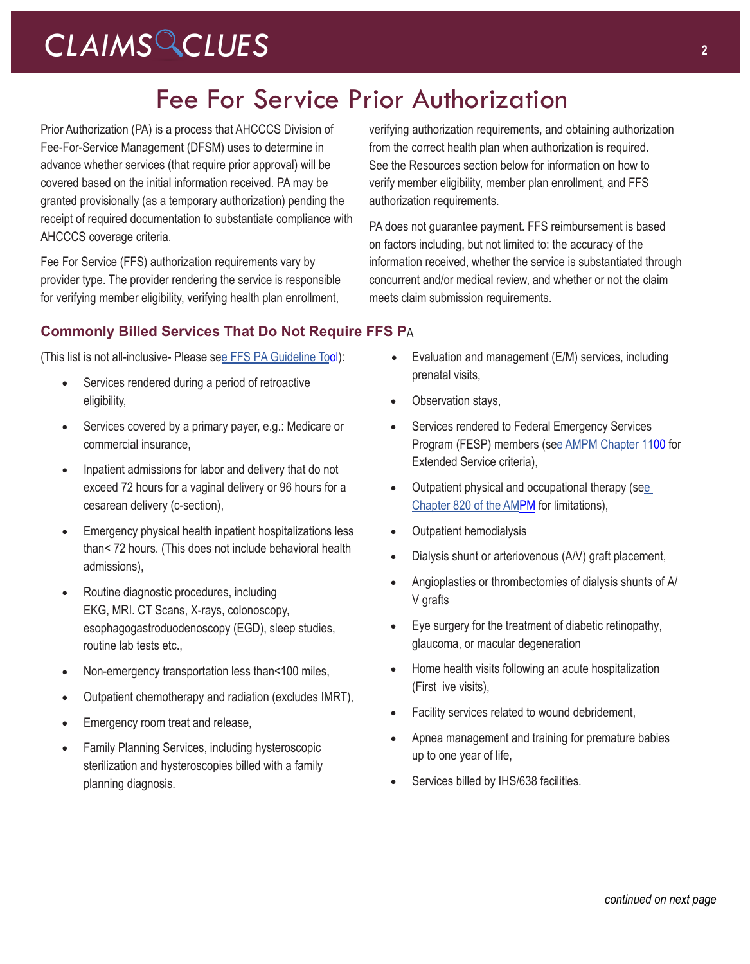## Fee For Service Prior Authorization

Prior Authorization (PA) is a process that AHCCCS Division of Fee-For-Service Management (DFSM) uses to determine in advance whether services (that require prior approval) will be covered based on the initial information received. PA may be granted provisionally (as a temporary authorization) pending the receipt of required documentation to substantiate compliance with AHCCCS coverage criteria.

Fee For Service (FFS) authorization requirements vary by provider type. The provider rendering the service is responsible for verifying member eligibility, verifying health plan enrollment,

verifying authorization requirements, and obtaining authorization from the correct health plan when authorization is required[.](https://www.azahcccs.gov/shared/Downloads/MedicalPolicyManual/820.pdf) See the Resources section below for information on how to verify member eligibility, member plan enrollment, and FFS authorization requirements.

PA does not guarantee payment. FFS reimbursement is based on factors including, but not limited to: the accuracy of the information received, whether the service is substantiated through concurrent and/or medical review, and whether or not the claim meets claim submission requirements.

## **Commonly Billed Services That Do Not Require FFS P**A

(This list is not all-inclusive- Please see [FFS PA Guideline To](https://www.azahcccs.gov/PlansProviders/MedicalCodingResources.html)ol): • Evaluation and management (E/M) services, including

- Services rendered during a period of retroactive eligibility,
- Services covered by a primary payer, e.g.: Medicare or commercial insurance,
- Inpatient admissions for labor and delivery that do not exceed 72 hours for a vaginal delivery or 96 hours for a cesarean delivery (c-section),
- Emergency physical health inpatient hospitalizations less than< 72 hours. (This does not include behavioral health admissions),
- Routine diagnostic procedures, including EKG, MRI. CT Scans, X-rays, colonoscopy, esophagogastroduodenoscopy (EGD), sleep studies, routine lab tests etc.,
- Non-emergency transportation less than<100 miles,
- Outpatient chemotherapy and radiation (excludes IMRT),
- Emergency room treat and release,
- Family Planning Services, including hysteroscopic sterilization and hysteroscopies billed with a family planning diagnosis.
- prenatal visits,
- Observation stays,
- Services rendered to Federal Emergency Services Program (FESP) members (see [AMPM Chapter 1100](https://www.azahcccs.gov/shared/Downloads/MedicalPolicyManual/1100/1100.pdf) for Extended Service criteria),
- Outpatient physical and occupational therapy (see [Chapter 820 of the AMPM](https://www.azahcccs.gov/shared/Downloads/MedicalPolicyManual/800/820.pdf) for limitations),
- Outpatient hemodialysis
- Dialysis shunt or arteriovenous (A/V) graft placement,
- Angioplasties or thrombectomies of dialysis shunts of A/ V grafts
- Eye surgery for the treatment of diabetic retinopathy, glaucoma, or macular degeneration
- Home health visits following an acute hospitalization (First ive visits),
- Facility services related to wound debridement,
- Apnea management and training for premature babies up to one year of life,
- Services billed by IHS/638 facilities.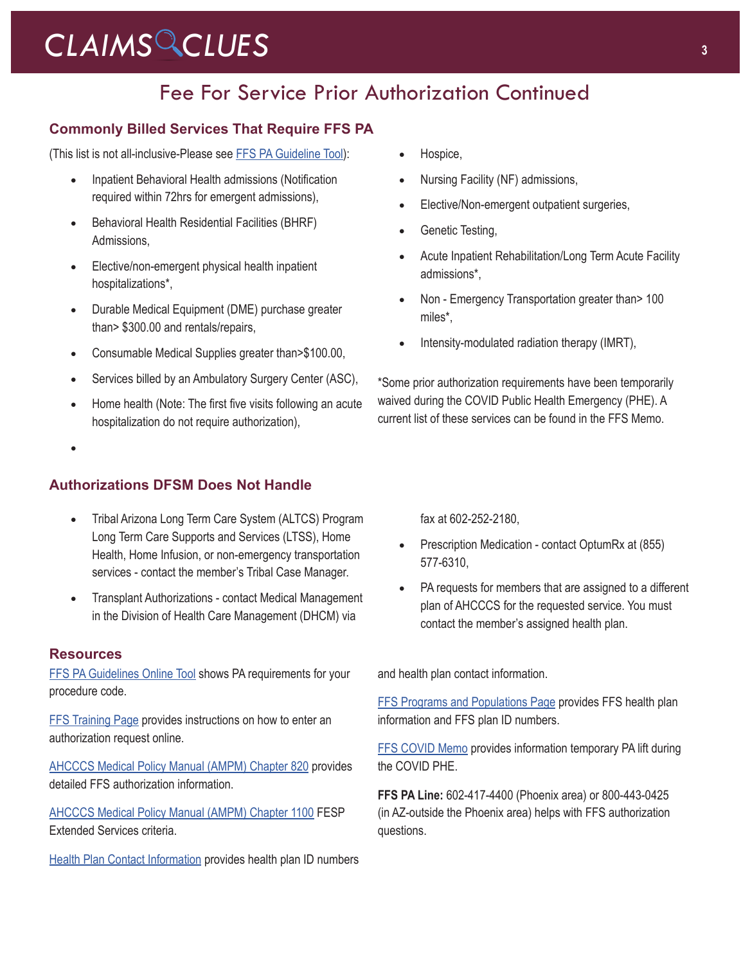## Fee For Service Prior Authorization Continued

## **Commonly Billed Services That Require FFS PA**

(This list is not all-inclusive-Please see [FFS PA Guideline Tool](https://www.azahcccs.gov/PlansProviders/MedicalCodingResources.html)):

- Inpatient Behavioral Health admissions (Notification required within 72hrs for emergent admissions),
- • Behavioral Health Residential Facilities (BHRF) Admissions,
- • Elective/non-emergent physical health inpatient hospitalizations\*,
- Durable Medical Equipment (DME) purchase greater than> \$300.00 and rentals/repairs,
- Consumable Medical Supplies greater than>\$100.00,
- Services billed by an Ambulatory Surgery Center (ASC),
- Home health (Note: The first five visits following an acute hospitalization do not require authorization),
- •

## **Authorizations DFSM Does Not Handle**

- Tribal Arizona Long Term Care System (ALTCS) Program Long Term Care Supports and Services (LTSS), Home Health, Home Infusion, or non-emergency transportation services - contact the member's Tribal Case Manager.
- **Transplant Authorizations contact Medical Management** in the Division of Health Care Management (DHCM) via

### **Resources**

[FFS PA Guidelines Online Tool](https://www.azahcccs.gov/PlansProviders/MedicalCodingResources.html) shows PA requirements for your procedure code.

**[FFS Training Page](https://www.azahcccs.gov/Resources/Downloads/DFMSTraining/2018/PATraining_Final.pdf) provides instructions on how to enter an** authorization request online.

[AHCCCS Medical Policy Manual \(AMPM\) Chapter 820](https://www.azahcccs.gov/shared/Downloads/MedicalPolicyManual/820.pdf) provides detailed FFS authorization information.

[AHCCCS Medical Policy Manual \(AMPM\) Chapter 1100](https://www.azahcccs.gov/shared/Downloads/MedicalPolicyManual/1100/1100.pdf) FESP Extended Services criteria.

[Health Plan Contact Information](https://azweb.statemedicaid.us/HealthPlanLinksNet/HPLinks.aspx) provides health plan ID numbers

- Hospice,
- Nursing Facility (NF) admissions,
- Elective/Non-emergent outpatient surgeries,
- Genetic Testing,
- Acute Inpatient Rehabilitation/Long Term Acute Facility admissions\*,
- Non Emergency Transportation greater than > 100 miles\*,
- Intensity-modulated radiation therapy (IMRT),

\*Some prior authorization requirements have been temporarily waived during the COVID Public Health Emergency (PHE). A current list of these services can be found in th[e FFS Memo.](https://azahcccs.gov/AHCCCS/Downloads/COVID19/AHCCCSPriorAuthorization.pdf)

fax at 602-252-2180,

- Prescription Medication contact OptumRx at (855) 577-6310,
- PA requests for members that are assigned to a different plan of AHCCCS for the requested service. You must contact the member's assigned health plan.

and health plan contact information.

[FFS Programs and Populations Page](https://www.azahcccs.gov/PlansProviders/FeeForServiceHealthPlans/ProgramsAndPopulations/) provides FFS health plan information and FFS plan ID numbers.

[FFS COVID Memo](https://azahcccs.gov/AHCCCS/Downloads/COVID19/AHCCCSPriorAuthorization.pdf) provides information temporary PA lift during the COVID PHE.

**FFS PA Line:** 602-417-4400 (Phoenix area) or 800-443-0425 (in AZ-outside the Phoenix area) helps with FFS authorization questions.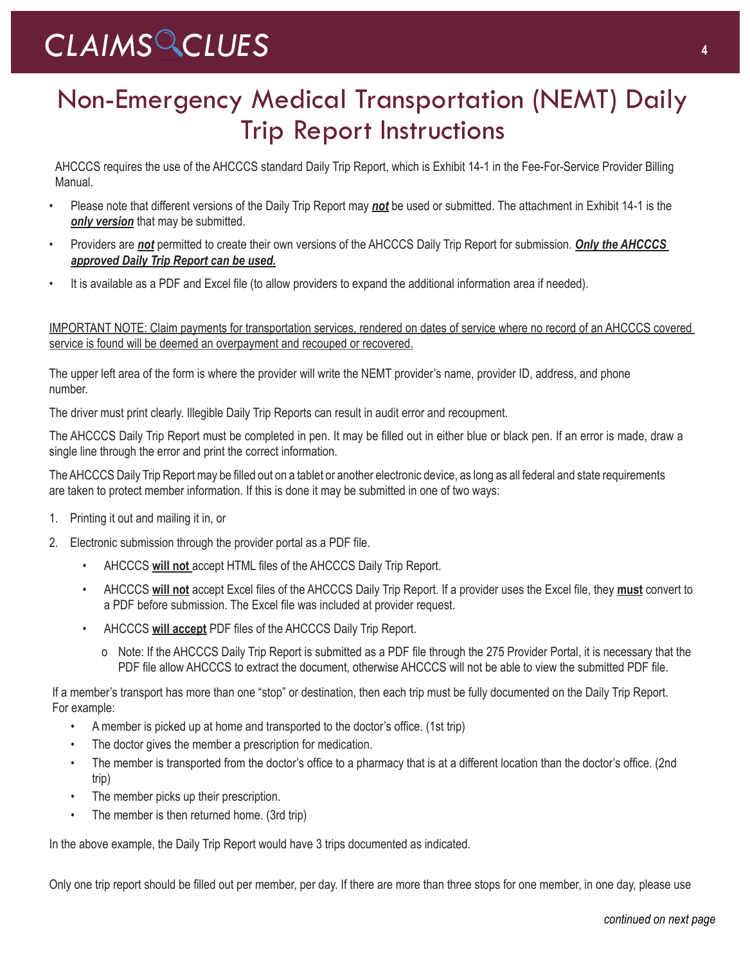# Non-Emergency Medical Transportation (NEMT) Daily Trip Report Instructions

AHCCCS requires the use of the AHCCCS standard Daily Trip Report, which is Exhibit 14-1 in the Fee-For-Service Provider Billing Manual.

- Please note that different versions of the Daily Trip Report may *not* be used or submitted. The attachment in Exhibit 14-1 is the **only version** that may be submitted.
- Providers are *not* permitted to create their own versions of the AHCCCS Daily Trip Report for submission. *Only the AHCCCS approved Daily Trip Report can be used.*
- It is available as a PDF and Excel file (to allow providers to expand the additional information area if needed).

IMPORTANT NOTE: Claim payments for transportation services, rendered on dates of service where no record of an AHCCCS covered service is found will be deemed an overpayment and recouped or recovered.

The upper left area of the form is where the provider will write the NEMT provider's name, provider ID, address, and phone number.

The driver must print clearly. Illegible Daily Trip Reports can result in audit error and recoupment.

The AHCCCS Daily Trip Report must be completed in pen. It may be filled out in either blue or black pen. If an error is made, draw a single line through the error and print the correct information.

The AHCCCS Daily Trip Report may be filled out on a tablet or another electronic device, as long as all federal and state requirements are taken to protect member information. If this is done it may be submitted in one of two ways:

- 1. Printing it out and mailing it in, or
- 2. Electronic submission through the provider portal as a PDF file.
	- AHCCCS **will not** accept HTML files of the AHCCCS Daily Trip Report.
	- AHCCCS **will not** accept Excel files of the AHCCCS Daily Trip Report. If a provider uses the Excel file, they **must** convert to a PDF before submission. The Excel file was included at provider request.
	- AHCCCS **will accept** PDF files of the AHCCCS Daily Trip Report.
		- o Note: If the AHCCCS Daily Trip Report is submitted as a PDF file through the 275 Provider Portal, it is necessary that the PDF file allow AHCCCS to extract the document, otherwise AHCCCS will not be able to view the submitted PDF file.

If a member's transport has more than one "stop" or destination, then each trip must be fully documented on the Daily Trip Report. For example:

- A member is picked up at home and transported to the doctor's office. (1st trip)
- The doctor gives the member a prescription for medication.
- The member is transported from the doctor's office to a pharmacy that is at a different location than the doctor's office. (2nd trip)
- The member picks up their prescription.
- The member is then returned home. (3rd trip)

In the above example, the Daily Trip Report would have 3 trips documented as indicated.

Only one trip report should be filled out per member, per day. If there are more than three stops for one member, in one day, please use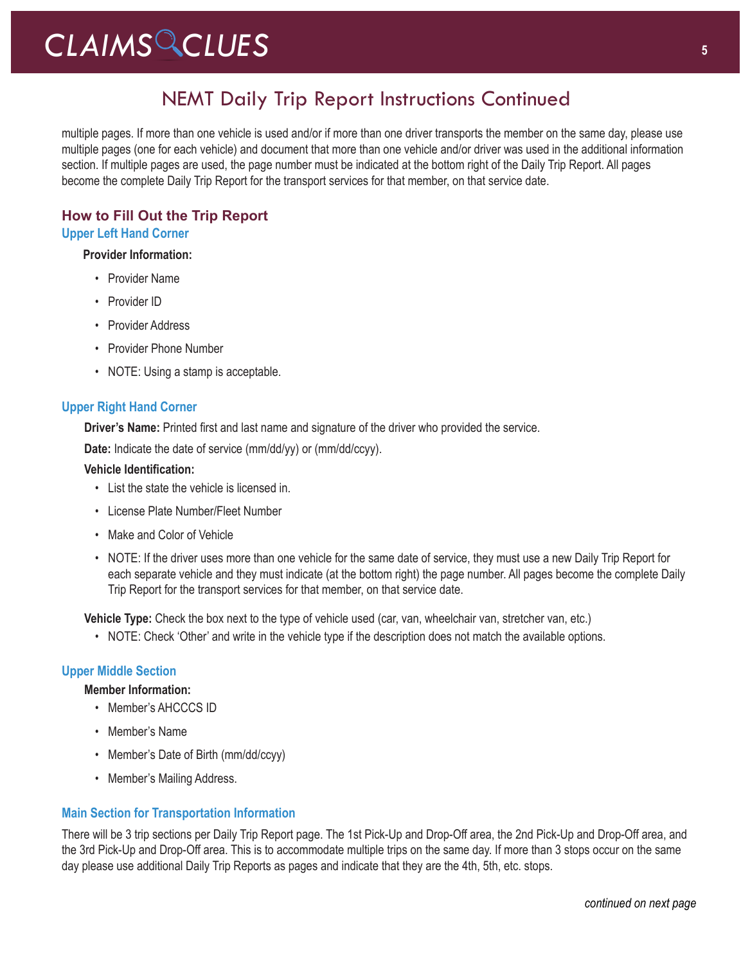## NEMT Daily Trip Report Instructions Continued

multiple pages. If more than one vehicle is used and/or if more than one driver transports the member on the same day, please use multiple pages (one for each vehicle) and document that more than one vehicle and/or driver was used in the additional information section. If multiple pages are used, the page number must be indicated at the bottom right of the Daily Trip Report. All pages become the complete Daily Trip Report for the transport services for that member, on that service date.

## **How to Fill Out the Trip Report**

### **Upper Left Hand Corner**

### **Provider Information:**

- Provider Name
- Provider ID
- Provider Address
- Provider Phone Number
- NOTE: Using a stamp is acceptable.

### **Upper Right Hand Corner**

**Driver's Name:** Printed first and last name and signature of the driver who provided the service.

**Date:** Indicate the date of service (mm/dd/yy) or (mm/dd/ccyy).

### **Vehicle Identification:**

- List the state the vehicle is licensed in.
- License Plate Number/Fleet Number
- Make and Color of Vehicle
- NOTE: If the driver uses more than one vehicle for the same date of service, they must use a new Daily Trip Report for each separate vehicle and they must indicate (at the bottom right) the page number. All pages become the complete Daily Trip Report for the transport services for that member, on that service date.

**Vehicle Type:** Check the box next to the type of vehicle used (car, van, wheelchair van, stretcher van, etc.)

• NOTE: Check 'Other' and write in the vehicle type if the description does not match the available options.

### **Upper Middle Section**

### **Member Information:**

- Member's AHCCCS ID
- Member's Name
- Member's Date of Birth (mm/dd/ccyy)
- Member's Mailing Address.

### **Main Section for Transportation Information**

There will be 3 trip sections per Daily Trip Report page. The 1st Pick-Up and Drop-Off area, the 2nd Pick-Up and Drop-Off area, and the 3rd Pick-Up and Drop-Off area. This is to accommodate multiple trips on the same day. If more than 3 stops occur on the same day please use additional Daily Trip Reports as pages and indicate that they are the 4th, 5th, etc. stops.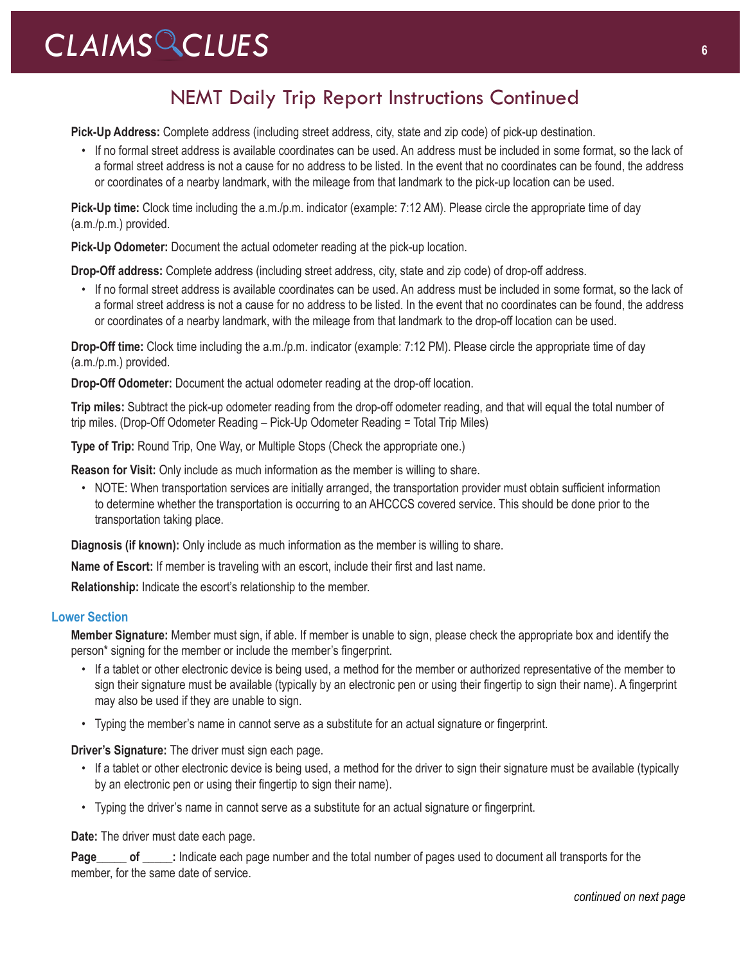## NEMT Daily Trip Report Instructions Continued

**Pick-Up Address:** Complete address (including street address, city, state and zip code) of pick-up destination.

• If no formal street address is available coordinates can be used. An address must be included in some format, so the lack of a formal street address is not a cause for no address to be listed. In the event that no coordinates can be found, the address or coordinates of a nearby landmark, with the mileage from that landmark to the pick-up location can be used.

**Pick-Up time:** Clock time including the a.m./p.m. indicator (example: 7:12 AM). Please circle the appropriate time of day (a.m./p.m.) provided.

**Pick-Up Odometer:** Document the actual odometer reading at the pick-up location.

**Drop-Off address:** Complete address (including street address, city, state and zip code) of drop-off address.

• If no formal street address is available coordinates can be used. An address must be included in some format, so the lack of a formal street address is not a cause for no address to be listed. In the event that no coordinates can be found, the address or coordinates of a nearby landmark, with the mileage from that landmark to the drop-off location can be used.

**Drop-Off time:** Clock time including the a.m./p.m. indicator (example: 7:12 PM). Please circle the appropriate time of day (a.m./p.m.) provided.

**Drop-Off Odometer:** Document the actual odometer reading at the drop-off location.

**Trip miles:** Subtract the pick-up odometer reading from the drop-off odometer reading, and that will equal the total number of trip miles. (Drop-Off Odometer Reading – Pick-Up Odometer Reading = Total Trip Miles)

**Type of Trip:** Round Trip, One Way, or Multiple Stops (Check the appropriate one.)

**Reason for Visit:** Only include as much information as the member is willing to share.

• NOTE: When transportation services are initially arranged, the transportation provider must obtain sufficient information to determine whether the transportation is occurring to an AHCCCS covered service. This should be done prior to the transportation taking place.

**Diagnosis (if known):** Only include as much information as the member is willing to share.

**Name of Escort:** If member is traveling with an escort, include their first and last name.

**Relationship:** Indicate the escort's relationship to the member.

### **Lower Section**

**Member Signature:** Member must sign, if able. If member is unable to sign, please check the appropriate box and identify the person\* signing for the member or include the member's fingerprint.

- If a tablet or other electronic device is being used, a method for the member or authorized representative of the member to sign their signature must be available (typically by an electronic pen or using their fingertip to sign their name). A fingerprint may also be used if they are unable to sign.
- Typing the member's name in cannot serve as a substitute for an actual signature or fingerprint.

**Driver's Signature:** The driver must sign each page.

- If a tablet or other electronic device is being used, a method for the driver to sign their signature must be available (typically by an electronic pen or using their fingertip to sign their name).
- Typing the driver's name in cannot serve as a substitute for an actual signature or fingerprint.

**Date:** The driver must date each page.

**Page** of : Indicate each page number and the total number of pages used to document all transports for the member, for the same date of service.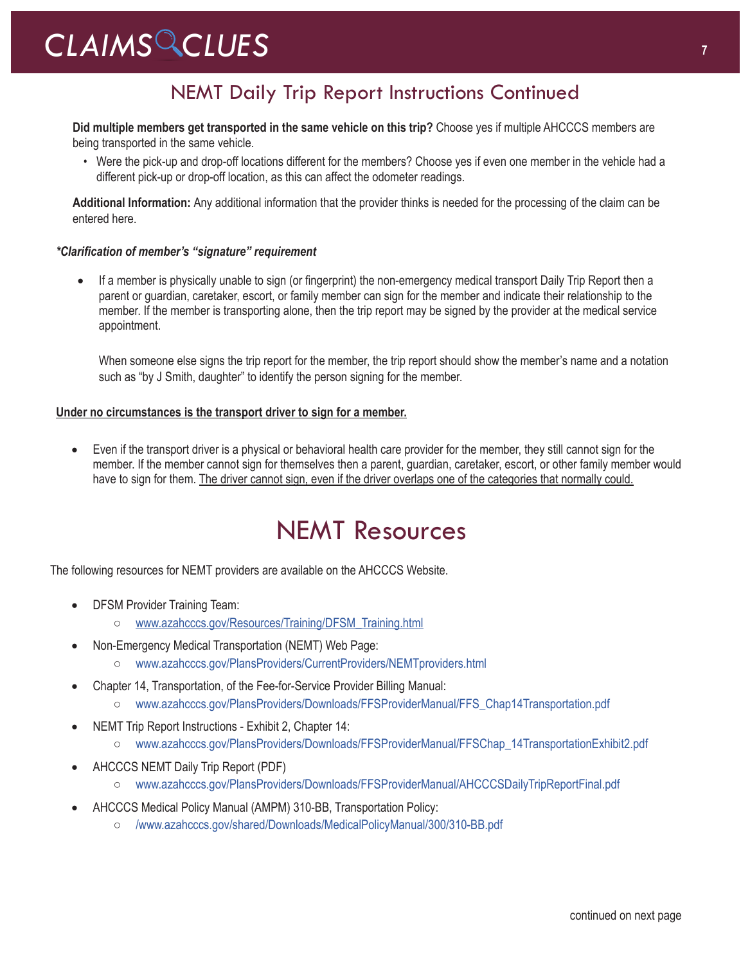## NEMT Daily Trip Report Instructions Continued

**Did multiple members get transported in the same vehicle on this trip?** Choose yes if multiple AHCCCS members are being transported in the same vehicle.

• Were the pick-up and drop-off locations different for the members? Choose yes if even one member in the vehicle had a different pick-up or drop-off location, as this can affect the odometer readings.

**Additional Information:** Any additional information that the provider thinks is needed for the processing of the claim can be entered here.

### *\*Clarification of member's "signature" requirement*

If a member is physically unable to sign (or fingerprint) the non-emergency medical transport Daily Trip Report then a parent or guardian, caretaker, escort, or family member can sign for the member and indicate their relationship to the member. If the member is transporting alone, then the trip report may be signed by the provider at the medical service appointment.

When someone else signs the trip report for the member, the trip report should show the member's name and a notation such as "by J Smith, daughter" to identify the person signing for the member.

### **Under no circumstances is the transport driver to sign for a member.**

• Even if the transport driver is a physical or behavioral health care provider for the member, they still cannot sign for the member. If the member cannot sign for themselves then a parent, guardian, caretaker, escort, or other family member would have to sign for them. The driver cannot sign, even if the driver overlaps one of the categories that normally could.

## NEMT Resources

The following resources for NEMT providers are available on the AHCCCS Website.

- DFSM Provider Training Team:
	- [www.azahcccs.gov/Resources/Training/DFSM\\_Training.html](https://www.azahcccs.gov/Resources/Training/DFSM_Training.html)
- Non-Emergency Medical Transportation (NEMT) Web Page:
	- [www.azahcccs.gov/PlansProviders/CurrentProviders/NEMTproviders.html](https://www.azahcccs.gov/PlansProviders/CurrentProviders/NEMTproviders.html)
- Chapter 14, Transportation, of the Fee-for-Service Provider Billing Manual:
	- [www.azahcccs.gov/PlansProviders/Downloads/FFSProviderManual/FFS\\_Chap14Transportation.pdf](https://www.azahcccs.gov/PlansProviders/Downloads/FFSProviderManual/FFS_Chap14Transportation.pdf)
- NEMT Trip Report Instructions Exhibit 2, Chapter 14:
	- [www.azahcccs.gov/PlansProviders/Downloads/FFSProviderManual/FFSChap\\_14TransportationExhibit2.pdf](https://www.azahcccs.gov/PlansProviders/Downloads/FFSProviderManual/FFSChap_14TransportationExhibit2.pdf)
- AHCCCS NEMT Daily Trip Report (PDF)
	- [www.azahcccs.gov/PlansProviders/Downloads/FFSProviderManual/AHCCCSDailyTripReportFinal.pdf](https://www.azahcccs.gov/PlansProviders/Downloads/FFSProviderManual/AHCCCSDailyTripReportFinal.pdf)
- AHCCCS Medical Policy Manual (AMPM) 310-BB, Transportation Policy:
	- [/www.azahcccs.gov/shared/Downloads/MedicalPolicyManual/300/310-BB.pdf](https://www.azahcccs.gov/shared/Downloads/MedicalPolicyManual/300/310-BB.pdf)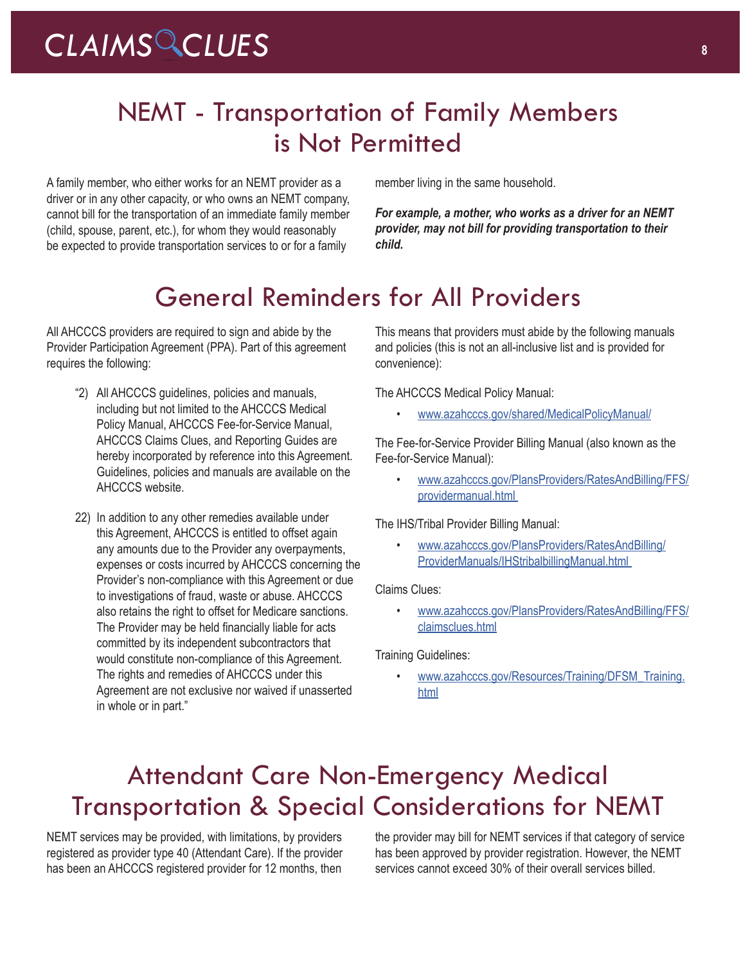## NEMT - Transportation of Family Members is Not Permitted

A family member, who either works for an NEMT provider as a driver or in any other capacity, or who owns an NEMT company, cannot bill for the transportation of an immediate family member (child, spouse, parent, etc.), for whom they would reasonably be expected to provide transportation services to or for a family

member living in the same household.

*For example, a mother, who works as a driver for an NEMT provider, may not bill for providing transportation to their child.* 

## General Reminders for All Providers

All AHCCCS providers are required to sign and abide by the Provider Participation Agreement (PPA). Part of this agreement requires the following:

- "2) All AHCCCS guidelines, policies and manuals, including but not limited to the AHCCCS Medical Policy Manual, AHCCCS Fee-for-Service Manual, AHCCCS Claims Clues, and Reporting Guides are hereby incorporated by reference into this Agreement. Guidelines, policies and manuals are available on the AHCCCS website.
- 22) In addition to any other remedies available under this Agreement, AHCCCS is entitled to offset again any amounts due to the Provider any overpayments, expenses or costs incurred by AHCCCS concerning the Provider's non-compliance with this Agreement or due to investigations of fraud, waste or abuse. AHCCCS also retains the right to offset for Medicare sanctions. The Provider may be held financially liable for acts committed by its independent subcontractors that would constitute non-compliance of this Agreement. The rights and remedies of AHCCCS under this Agreement are not exclusive nor waived if unasserted in whole or in part."

This means that providers must abide by the following manuals and policies (this is not an all-inclusive list and is provided for convenience):

The AHCCCS Medical Policy Manual:

• [www.azahcccs.gov/shared/MedicalPolicyManual/](https://www.azahcccs.gov/shared/MedicalPolicyManual/)

The Fee-for-Service Provider Billing Manual (also known as the Fee-for-Service Manual):

• [www.azahcccs.gov/PlansProviders/RatesAndBilling/FFS/](https://www.azahcccs.gov/PlansProviders/RatesAndBilling/FFS/providermanual.html) [providermanual.html](https://www.azahcccs.gov/PlansProviders/RatesAndBilling/FFS/providermanual.html)

The IHS/Tribal Provider Billing Manual:

• [www.azahcccs.gov/PlansProviders/RatesAndBilling/](https://www.azahcccs.gov/PlansProviders/RatesAndBilling/ProviderManuals/IHStribalbillingManual.html) [ProviderManuals/IHStribalbillingManual.html](https://www.azahcccs.gov/PlansProviders/RatesAndBilling/ProviderManuals/IHStribalbillingManual.html)

Claims Clues:

• [www.azahcccs.gov/PlansProviders/RatesAndBilling/FFS/](https://www.azahcccs.gov/PlansProviders/RatesAndBilling/FFS/claimsclues.html) [claimsclues.html](https://www.azahcccs.gov/PlansProviders/RatesAndBilling/FFS/claimsclues.html)

Training Guidelines:

[www.azahcccs.gov/Resources/Training/DFSM\\_Training.](https://www.azahcccs.gov/Resources/Training/DFSM_Training.html) [html](https://www.azahcccs.gov/Resources/Training/DFSM_Training.html)

## Attendant Care Non-Emergency Medical Transportation & Special Considerations for NEMT

NEMT services may be provided, with limitations, by providers registered as provider type 40 (Attendant Care). If the provider has been an AHCCCS registered provider for 12 months, then

the provider may bill for NEMT services if that category of service has been approved by provider registration. However, the NEMT services cannot exceed 30% of their overall services billed.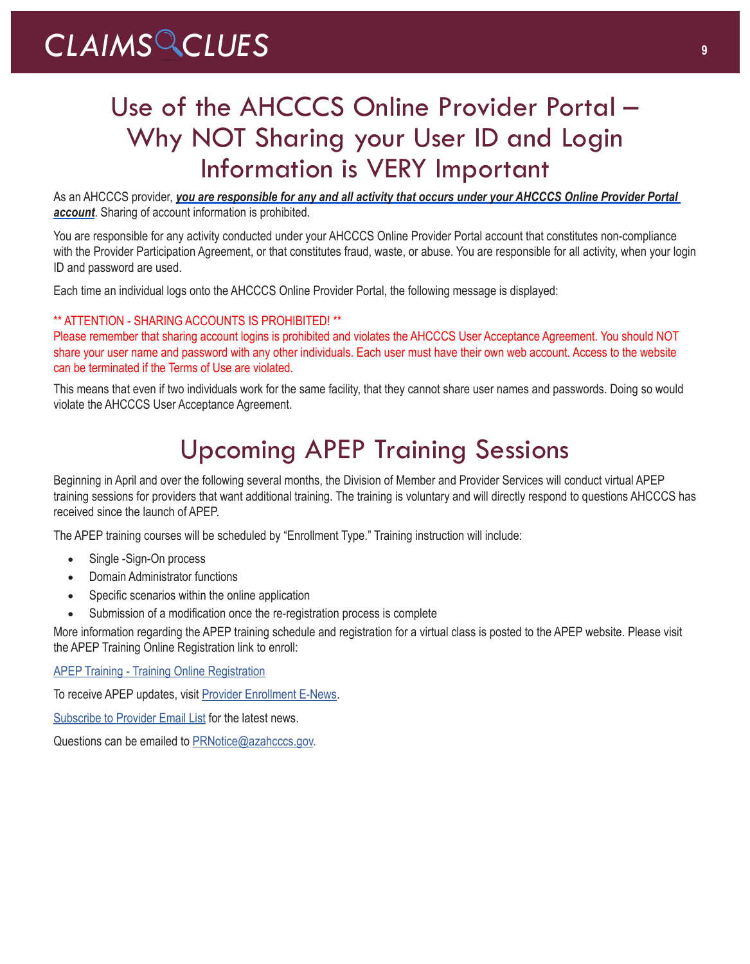# Use of the AHCCCS Online Provider Portal – Why NOT Sharing your User ID and Login Information is VERY Important

As an AHCCCS provider, *you are responsible for any and all activity that occurs under your AHCCCS Online Provider Portal account*. Sharing of account information is prohibited.

You are responsible for any activity conducted under your AHCCCS Online Provider Portal account that constitutes non-compliance with the Provider Participation Agreement, or that constitutes fraud, waste, or abuse. You are responsible for all activity, when your login ID and password are used.

Each time an individual logs onto the AHCCCS Online Provider Portal, the following message is displayed:

## \*\* ATTENTION - SHARING ACCOUNTS IS PROHIBITED! \*\*

Please remember that sharing account logins is prohibited and violates the AHCCCS User Acceptance Agreement. You should NOT share your user name and password with any other individuals. Each user must have their own web account. Access to the website can be terminated if the Terms of Use are violated.

This means that even if two individuals work for the same facility, that they cannot share user names and passwords. Doing so would violate the AHCCCS User Acceptance Agreement.

# Upcoming APEP Training Sessions

Beginning in April and over the following several months, the Division of Member and Provider Services will conduct virtual APEP training sessions for providers that want additional training. The training is voluntary and will directly respond to questions AHCCCS has received since the launch of APEP.

The APEP training courses will be scheduled by "Enrollment Type." Training instruction will include:

- Single -Sign-On process
- **Domain Administrator functions**
- Specific scenarios within the online application
- Submission of a modification once the re-registration process is complete

More information regarding the APEP training schedule and registration for a virtual class is posted to the APEP website. Please visit the APEP Training Online Registration link to enroll:

[APEP Training - Training Online Registration](http://r20.rs6.net/tn.jsp?f=0018v75y1zM-CvknY5lUt7JNIUS4t0HGZ7oFq9vCI8UN9B7N-fpHb02LgwjuurT1idZntVZLlZ4fDCBZPAWrYRJEzYlx83ZqWKJ87Qxm4oCN8fQmOROGiBcbiKv4H_2oXHveDdiMCYdqVBDplC8qD_gTuS1_V_ZdRKm_A-tQkVJ9cM-Q_PL3ElfbNddAAX4T5nvFSLm1bKS6_3vIaF6sk9cuc4f6b-zpM7KfYRaqmeFbeM=&c=82JBLZqpfVgDaLE8udd7L49gbFyJeDDLBivU7EXSrkj-XmaVvPbzbQ==&ch=-CcxVyoKOqrpCopRSBgpflBj6oDhZrFilTECZug4JG_JXoQbE7RzRg==)

To receive APEP updates, visit [Provider Enrollment E-News.](http://r20.rs6.net/tn.jsp?f=0018v75y1zM-CvknY5lUt7JNIUS4t0HGZ7oFq9vCI8UN9B7N-fpHb02LgwjuurT1idZdqSQUNSwNDyxSidMYBHXca28NZEhueqygZlLHm6F0-a75jyicya8V8nje50l7d3D1-TbC7kK3Bm86QeM0uw4mehhIrzM5sfXWkfhja-1U38WINtQMiWs7RhmeIZ1ooQnBJRsRPSjF7k=&c=82JBLZqpfVgDaLE8udd7L49gbFyJeDDLBivU7EXSrkj-XmaVvPbzbQ==&ch=-CcxVyoKOqrpCopRSBgpflBj6oDhZrFilTECZug4JG_JXoQbE7RzRg==)

[Subscribe to Provider Email List](http://r20.rs6.net/tn.jsp?f=0018v75y1zM-CvknY5lUt7JNIUS4t0HGZ7oFq9vCI8UN9B7N-fpHb02LgwjuurT1idZ3Z-wpygEucFcXV_y8aHRR8st9wgUx59XwHkQpUNztgupa8zUB08ToqsbuSqt2hd0UJYSnUy2LPzsScvdRxyf0GGo2k_oCsjFPkeCytaveb0y5UPXZJ8BUtQqxNldLbCMp5JH6gAwIy1mJujbiZapkNi3rayTqREKBx5UrxX4UNpxbqs38G5zw9sBeZBqpbREX4AQY7eTYiSXLo6H2wyB9kLAngD7qdX4AFsX0kTHCrJIv_BW3RQ01eBsf3VKqFbyeQXr5WX_uudVK8OFTXa9Qtl9_tSd40YQQO7LRWkVAgBrZPztc7ZkjXcGfu_jfFc_Jg_Hd7XEaWpZ0YwTfTx0_8dToq7GVLcH&c=82JBLZqpfVgDaLE8udd7L49gbFyJeDDLBivU7EXSrkj-XmaVvPbzbQ==&ch=-CcxVyoKOqrpCopRSBgpflBj6oDhZrFilTECZug4JG_JXoQbE7RzRg==) for the latest news.

Questions can be emailed to **[PRNotice@azahcccs.gov.](mailto:PRNotice@azahcccs.gov.)**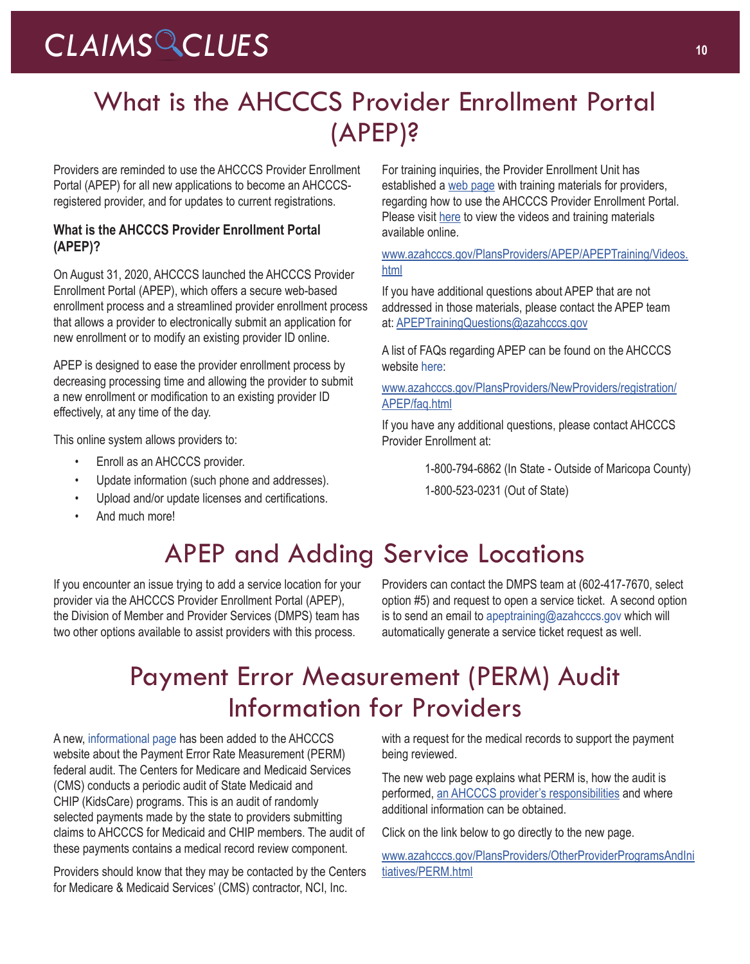# What is the AHCCCS Provider Enrollment Portal (APEP)?

Providers are reminded to use the AHCCCS Provider Enrollment Portal (APEP) for all new applications to become an AHCCCSregistered provider, and for updates to current registrations.

## **What is the AHCCCS Provider Enrollment Portal (APEP)?**

On August 31, 2020, AHCCCS launched the AHCCCS Provider Enrollment Portal (APEP), which offers a secure web-based enrollment process and a streamlined provider enrollment process that allows a provider to electronically submit an application for new enrollment or to modify an existing provider ID online.

APEP is designed to ease the provider enrollment process by decreasing processing time and allowing the provider to submit a new enrollment or modification to an existing provider ID effectively, at any time of the day.

This online system allows providers to:

- Enroll as an AHCCCS provider.
- Update information (such phone and addresses).
- Upload and/or update licenses and certifications.
- And much more!

For training inquiries, the Provider Enrollment Unit has established a [web page](https://www.azahcccs.gov/PlansProviders/APEP/APEPTraining/Videos.html) with training materials for providers, regarding how to use the AHCCCS Provider Enrollment Portal. Please visit [here](https://www.azahcccs.gov/PlansProviders/APEP/APEPTraining/Videos.html) to view the videos and training materials available online.

[www.azahcccs.gov/PlansProviders/APEP/APEPTraining/Videos.](https://www.azahcccs.gov/PlansProviders/APEP/APEPTraining/Videos.html) [html](https://www.azahcccs.gov/PlansProviders/APEP/APEPTraining/Videos.html)

If you have additional questions about APEP that are not addressed in those materials, please contact the APEP team at: [APEPTrainingQuestions@azahcccs.gov](mailto:APEPTrainingQuestions@azahcccs.gov)

A list of FAQs regarding APEP can be found on the AHCCCS website [here](https://www.azahcccs.gov/PlansProviders/NewProviders/registration/APEP/faq.html):

[www.azahcccs.gov/PlansProviders/NewProviders/registration/](https://www.azahcccs.gov/PlansProviders/NewProviders/registration/APEP/faq.html) [APEP/faq.html](https://www.azahcccs.gov/PlansProviders/NewProviders/registration/APEP/faq.html)

If you have any additional questions, please contact AHCCCS Provider Enrollment at:

1-800-794-6862 (In State - Outside of Maricopa County)

1-800-523-0231 (Out of State)

# APEP and Adding Service Locations

If you encounter an issue trying to add a service location for your provider via the AHCCCS Provider Enrollment Portal (APEP), the Division of Member and Provider Services (DMPS) team has two other options available to assist providers with this process.

Providers can contact the DMPS team at (602-417-7670, select option #5) and request to open a service ticket. A second option is to send an email to [apeptraining@azahcccs.gov](mailto:apeptraining@azahcccs.gov) which will automatically generate a service ticket request as well.

## Payment Error Measurement (PERM) Audit Information for Providers

A new, [informational page](https://www.azahcccs.gov/PlansProviders/OtherProviderProgramsAndInitiatives/PERM.html) has been added to the AHCCCS website about the Payment Error Rate Measurement (PERM) federal audit. The Centers for Medicare and Medicaid Services (CMS) conducts a periodic audit of State Medicaid and CHIP (KidsCare) programs. This is an audit of randomly selected payments made by the state to providers submitting claims to AHCCCS for Medicaid and CHIP members. The audit of these payments contains a medical record review component.

Providers should know that they may be contacted by the Centers for Medicare & Medicaid Services' (CMS) contractor, NCI, Inc.

with a request for the medical records to support the payment being reviewed.

The new web page explains what PERM is, how the audit is performed, an AHCCCS [provider's responsibilities](https://www.azahcccs.gov/PlansProviders/OtherProviderProgramsAndInitiatives/PERM.html) and where additional information can be obtained.

Click on the link below to go directly to the new page.

[www.azahcccs.gov/PlansProviders/OtherProviderProgramsAndIni](https://www.azahcccs.gov/PlansProviders/OtherProviderProgramsAndInitiatives/PERM.html) [tiatives/PERM.html](https://www.azahcccs.gov/PlansProviders/OtherProviderProgramsAndInitiatives/PERM.html)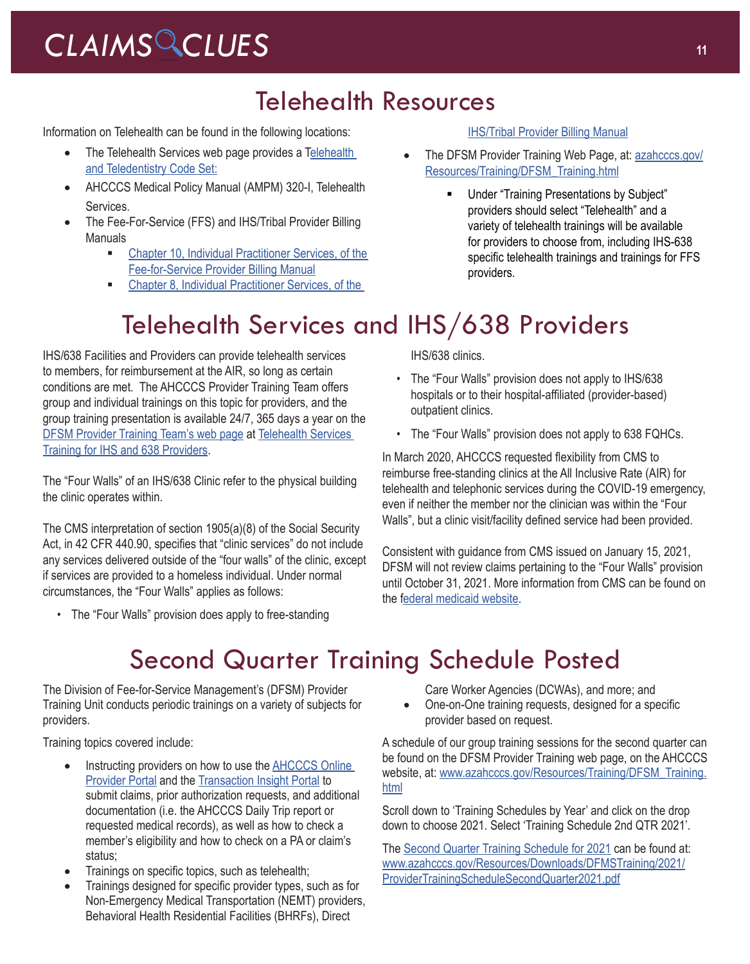## Telehealth Resources

Information on Telehealth can be found in the following locations:

- The [Telehealth](https://www.azahcccs.gov/AHCCCS/Initiatives/Telehealth/) Services web page provides a Telehealth [and Teledentistry Code Set:](https://www.azahcccs.gov/AHCCCS/Initiatives/Telehealth/)
- AHCCCS Medical Policy Manual (AMPM) 320-I, Telehealth [Services.](https://www.azahcccs.gov/shared/Downloads/MedicalPolicyManual/300/320-I.pdf)
- The Fee-For-Service (FFS) and IHS/Tribal Provider Billing Manuals
	- [Chapter 10, Individual Practitioner Services, of the](https://www.azahcccs.gov/PlansProviders/Downloads/FFSProviderManual/FFS_Chap10.pdf)  [Fee-for-Service Provider Billing Manual](https://www.azahcccs.gov/PlansProviders/Downloads/FFSProviderManual/FFS_Chap10.pdf)
	- **EXECUTE:** Chapter 8, Individual Practitioner Services, of the

### [IHS/Tribal Provider Billing Manual](https://www.azahcccs.gov/PlansProviders/Downloads/IHS-TribalManual/IHS-Chap08IndivPractitionerSvcs.pdf)

- The DFSM Provider Training Web Page, at: [azahcccs.gov/](https://azahcccs.gov/Resources/Training/DFSM_Training.html) [Resources/Training/DFSM\\_Training.html](https://azahcccs.gov/Resources/Training/DFSM_Training.html)
	- Under "Training Presentations by Subject" providers should select "Telehealth" and a variety of telehealth trainings will be available for providers to choose from, including IHS-638 specific telehealth trainings and trainings for FFS providers.

# Telehealth Services and IHS/638 Providers

IHS/638 Facilities and Providers can provide telehealth services to members, for reimbursement at the AIR, so long as certain conditions are met. The AHCCCS Provider Training Team offers group and individual trainings on this topic for providers, and the group training presentation is available 24/7, 365 days a year on the [DFSM Provider Training Team's web page](https://www.azahcccs.gov/Resources/Training/DFSM_Training.html) at [Telehealth Services](https://www.azahcccs.gov/Resources/Downloads/DFMSTraining/2020/FALL2020_TelehealthServicesForIHS_638Providers.pdf)  [Training for IHS and 638 Providers.](https://www.azahcccs.gov/Resources/Downloads/DFMSTraining/2020/FALL2020_TelehealthServicesForIHS_638Providers.pdf)

The "Four Walls" of an IHS/638 Clinic refer to the physical building the clinic operates within.

The CMS interpretation of section 1905(a)(8) of the Social Security Act, in 42 CFR 440.90, specifies that "clinic services" do not include any services delivered outside of the "four walls" of the clinic, except if services are provided to a homeless individual. Under normal circumstances, the "Four Walls" applies as follows:

• The "Four Walls" provision does apply to free-standing

IHS/638 clinics.

- The "Four Walls" provision does not apply to IHS/638 hospitals or to their hospital-affiliated (provider-based) outpatient clinics.
- The "Four Walls" provision does not apply to 638 FQHCs.

In March 2020, AHCCCS requested flexibility from CMS to reimburse free-standing clinics at the All Inclusive Rate (AIR) for telehealth and telephonic services during the COVID-19 emergency, even if neither the member nor the clinician was within the "Four Walls", but a clinic visit/facility defined service had been provided.

Consistent with guidance from CMS issued on January 15, 2021, DFSM will not review claims pertaining to the "Four Walls" provision until October 31, 2021. More information from CMS can be found on the f[ederal medicaid website.](https://www.medicaid.gov/federal-policy-guidance/downloads/cib11421.pdf)

# Second Quarter Training Schedule Posted

The Division of Fee-for-Service Management's (DFSM) Provider Training Unit conducts periodic trainings on a variety of subjects for providers.

Training topics covered include:

- Instructing providers on how to use the **AHCCCS** Online [Provider Portal](https://azweb.statemedicaid.us/Account/Login.aspx?ReturnUrl=%2f) and the [Transaction Insight Portal](https://tiwebprd.statemedicaid.us/AHCCCS/default.aspx?ReturnUrl=%2fAHCCCS%2f) to submit claims, prior authorization requests, and additional documentation (i.e. the AHCCCS Daily Trip report or requested medical records), as well as how to check a member's eligibility and how to check on a PA or claim's status;
- Trainings on specific topics, such as telehealth;
- Trainings designed for specific provider types, such as for Non-Emergency Medical Transportation (NEMT) providers, Behavioral Health Residential Facilities (BHRFs), Direct

Care Worker Agencies (DCWAs), and more; and

• One-on-One training requests, designed for a specific provider based on request.

A schedule of our group training sessions for the second quarter can be found on the DFSM Provider Training web page, on the AHCCCS website, at: [www.azahcccs.gov/Resources/Training/DFSM\\_Training.](https://www.azahcccs.gov/Resources/Training/DFSM_Training.html) [html](https://www.azahcccs.gov/Resources/Training/DFSM_Training.html)

Scroll down to 'Training Schedules by Year' and click on the drop down to choose 2021. Select 'Training Schedule 2nd QTR 2021'.

The [Second Quarter Training Schedule for 2021](https://www.azahcccs.gov/Resources/Downloads/DFMSTraining/2021/ProviderTrainingScheduleSecondQuarter2021.pdf) can be found at: [www.azahcccs.gov/Resources/Downloads/DFMSTraining/2021/](https://www.azahcccs.gov/Resources/Downloads/DFMSTraining/2021/ProviderTrainingScheduleSecondQuarter2021.pdf) [ProviderTrainingScheduleSecondQuarter2021.pdf](https://www.azahcccs.gov/Resources/Downloads/DFMSTraining/2021/ProviderTrainingScheduleSecondQuarter2021.pdf)